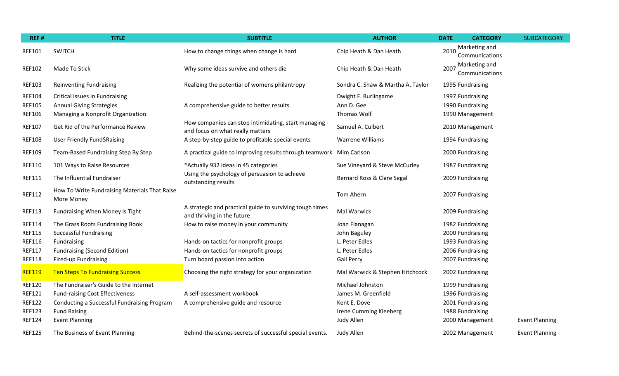| REF#          | <b>TITLE</b>                                                | <b>SUBTITLE</b>                                                                           | <b>AUTHOR</b>                     | <b>DATE</b>      | <b>CATEGORY</b>                 | <b>SUBCATEGORY</b>    |
|---------------|-------------------------------------------------------------|-------------------------------------------------------------------------------------------|-----------------------------------|------------------|---------------------------------|-----------------------|
| <b>REF101</b> | <b>SWITCH</b>                                               | How to change things when change is hard                                                  | Chip Heath & Dan Heath            | 2010             | Marketing and<br>Communications |                       |
| <b>REF102</b> | Made To Stick                                               | Why some ideas survive and others die                                                     | Chip Heath & Dan Heath            | 2007             | Marketing and<br>Communications |                       |
| <b>REF103</b> | <b>Reinventing Fundraising</b>                              | Realizing the potential of womens philantropy                                             | Sondra C. Shaw & Martha A. Taylor | 1995 Fundraising |                                 |                       |
| <b>REF104</b> | Critical Issues in Fundraising                              |                                                                                           | Dwight F. Burlingame              | 1997 Fundraising |                                 |                       |
| <b>REF105</b> | <b>Annual Giving Strategies</b>                             | A comprehensive guide to better results                                                   | Ann D. Gee                        | 1990 Fundraising |                                 |                       |
| <b>REF106</b> | Managing a Nonprofit Organization                           |                                                                                           | Thomas Wolf                       |                  | 1990 Management                 |                       |
| <b>REF107</b> | Get Rid of the Performance Review                           | How companies can stop intimidating, start managing -<br>and focus on what really matters | Samuel A. Culbert                 |                  | 2010 Management                 |                       |
| <b>REF108</b> | User Friendly Fund\$Raising                                 | A step-by-step guide to profitable special events                                         | Warrene Williams                  | 1994 Fundraising |                                 |                       |
| <b>REF109</b> | Team-Based Fundraising Step By Step                         | A practical guide to improving results through teamwork Mim Carlson                       |                                   |                  | 2000 Fundraising                |                       |
| <b>REF110</b> | 101 Ways to Raise Resources                                 | *Actually 932 ideas in 45 categories                                                      | Sue Vineyard & Steve McCurley     | 1987 Fundraising |                                 |                       |
| <b>REF111</b> | The Influential Fundraiser                                  | Using the psychology of persuasion to achieve<br>outstanding results                      | Bernard Ross & Clare Segal        |                  | 2009 Fundraising                |                       |
| <b>REF112</b> | How To Write Fundraising Materials That Raise<br>More Money |                                                                                           | Tom Ahern                         |                  | 2007 Fundraising                |                       |
| <b>REF113</b> | Fundraising When Money is Tight                             | A strategic and practical guide to surviving tough times<br>and thriving in the future    | Mal Warwick                       | 2009 Fundraising |                                 |                       |
| <b>REF114</b> | The Grass Roots Fundraising Book                            | How to raise money in your community                                                      | Joan Flanagan                     | 1982 Fundraising |                                 |                       |
| <b>REF115</b> | <b>Successful Fundraising</b>                               |                                                                                           | John Baguley                      | 2000 Fundraising |                                 |                       |
| <b>REF116</b> | Fundraising                                                 | Hands-on tactics for nonprofit groups                                                     | L. Peter Edles                    | 1993 Fundraising |                                 |                       |
| <b>REF117</b> | <b>Fundraising (Second Edition)</b>                         | Hands-on tactics for nonprofit groups                                                     | L. Peter Edles                    | 2006 Fundraising |                                 |                       |
| <b>REF118</b> | Fired-up Fundraising                                        | Turn board passion into action                                                            | Gail Perry                        | 2007 Fundraising |                                 |                       |
| <b>REF119</b> | <b>Ten Steps To Fundraising Success</b>                     | Choosing the right strategy for your organization                                         | Mal Warwick & Stephen Hitchcock   | 2002 Fundraising |                                 |                       |
| <b>REF120</b> | The Fundraiser's Guide to the Internet                      |                                                                                           | Michael Johnston                  | 1999 Fundraising |                                 |                       |
| <b>REF121</b> | <b>Fund-raising Cost Effectiveness</b>                      | A self-assessment workbook                                                                | James M. Greenfield               | 1996 Fundraising |                                 |                       |
| <b>REF122</b> | Conducting a Successful Fundraising Program                 | A comprehensive guide and resource                                                        | Kent E. Dove                      | 2001 Fundraising |                                 |                       |
| <b>REF123</b> | <b>Fund Raising</b>                                         |                                                                                           | <b>Irene Cumming Kleeberg</b>     | 1988 Fundraising |                                 |                       |
| <b>REF124</b> | <b>Event Planning</b>                                       |                                                                                           | Judy Allen                        |                  | 2000 Management                 | <b>Event Planning</b> |
| <b>REF125</b> | The Business of Event Planning                              | Behind-the-scenes secrets of successful special events.                                   | Judy Allen                        |                  | 2002 Management                 | <b>Event Planning</b> |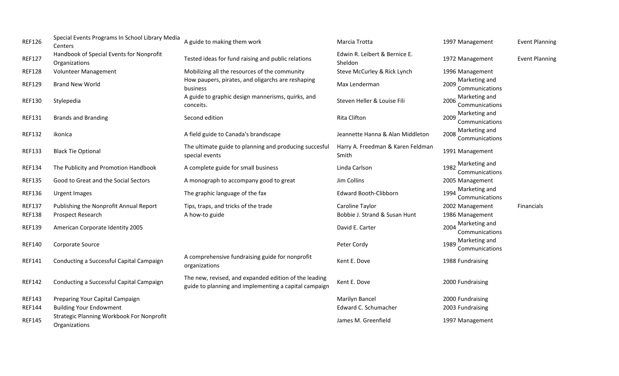| <b>REF126</b> | Special Events Programs In School Library Media<br>Centers        | A guide to making them work                                                                                    | Marcia Trotta                              | 1997 Management                         | <b>Event Planning</b> |
|---------------|-------------------------------------------------------------------|----------------------------------------------------------------------------------------------------------------|--------------------------------------------|-----------------------------------------|-----------------------|
| <b>REF127</b> | Handbook of Special Events for Nonprofit<br>Organizations         | Tested ideas for fund raising and public relations                                                             | Edwin R. Leibert & Bernice E.<br>Sheldon   | 1972 Management                         | <b>Event Planning</b> |
| <b>REF128</b> | Volunteer Management                                              | Mobilizing all the resources of the community                                                                  | Steve McCurley & Rick Lynch                | 1996 Management                         |                       |
| <b>REF129</b> | <b>Brand New World</b>                                            | How paupers, pirates, and oligarchs are reshaping<br>business                                                  | Max Lenderman                              | Marketing and<br>2009<br>Communications |                       |
| <b>REF130</b> | Stylepedia                                                        | A guide to graphic design mannerisms, quirks, and<br>conceits.                                                 | Steven Heller & Louise Fili                | Marketing and<br>2006<br>Communications |                       |
| <b>REF131</b> | <b>Brands and Branding</b>                                        | Second edition                                                                                                 | <b>Rita Clifton</b>                        | Marketing and<br>2009<br>Communications |                       |
| <b>REF132</b> | ikonica                                                           | A field guide to Canada's brandscape                                                                           | Jeannette Hanna & Alan Middleton           | Marketing and<br>2008<br>Communications |                       |
| <b>REF133</b> | <b>Black Tie Optional</b>                                         | The ultimate guide to planning and producing succesful<br>special events                                       | Harry A. Freedman & Karen Feldman<br>Smith | 1991 Management                         |                       |
| <b>REF134</b> | The Publicity and Promotion Handbook                              | A complete guide for small business                                                                            | Linda Carlson                              | Marketing and<br>1982<br>Communications |                       |
| <b>REF135</b> | Good to Great and the Social Sectors                              | A monograph to accompany good to great                                                                         | Jim Collins                                | 2005 Management                         |                       |
| <b>REF136</b> | Urgent Images                                                     | The graphic language of the fax                                                                                | <b>Edward Booth-Clibborn</b>               | Marketing and<br>1994<br>Communications |                       |
| <b>REF137</b> | Publishing the Nonprofit Annual Report                            | Tips, traps, and tricks of the trade                                                                           | Caroline Taylor                            | 2002 Management                         | Financials            |
| <b>REF138</b> | Prospect Research                                                 | A how-to guide                                                                                                 | Bobbie J. Strand & Susan Hunt              | 1986 Management                         |                       |
| <b>REF139</b> | American Corporate Identity 2005                                  |                                                                                                                | David E. Carter                            | Marketing and<br>2004<br>Communications |                       |
| <b>REF140</b> | Corporate Source                                                  |                                                                                                                | Peter Cordy                                | Marketing and<br>1989<br>Communications |                       |
| <b>REF141</b> | Conducting a Successful Capital Campaign                          | A comprehensive fundraising guide for nonprofit<br>organizations                                               | Kent E. Dove                               | 1988 Fundraising                        |                       |
| <b>REF142</b> | Conducting a Successful Capital Campaign                          | The new, revised, and expanded edition of the leading<br>guide to planning and implementing a capital campaign | Kent E. Dove                               | 2000 Fundraising                        |                       |
| <b>REF143</b> | Preparing Your Capital Campaign                                   |                                                                                                                | <b>Marilyn Bancel</b>                      | 2000 Fundraising                        |                       |
| <b>REF144</b> | <b>Building Your Endowment</b>                                    |                                                                                                                | Edward C. Schumacher                       | 2003 Fundraising                        |                       |
| <b>REF145</b> | <b>Strategic Planning Workbook For Nonprofit</b><br>Organizations |                                                                                                                | James M. Greenfield                        | 1997 Management                         |                       |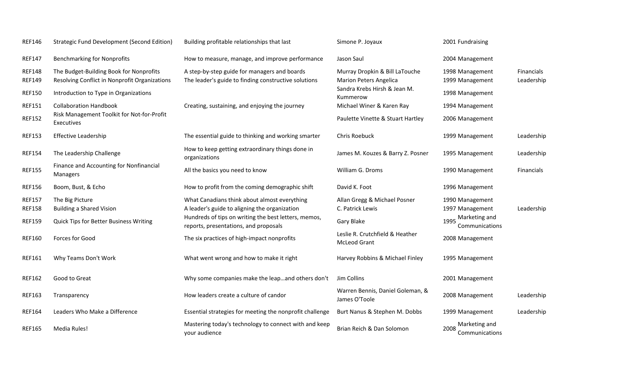| <b>REF146</b>                  | <b>Strategic Fund Development (Second Edition)</b>                                       | Building profitable relationships that last                                                          | Simone P. Joyaux                                                | 2001 Fundraising                        |                          |
|--------------------------------|------------------------------------------------------------------------------------------|------------------------------------------------------------------------------------------------------|-----------------------------------------------------------------|-----------------------------------------|--------------------------|
| <b>REF147</b>                  | <b>Benchmarking for Nonprofits</b>                                                       | How to measure, manage, and improve performance                                                      | Jason Saul                                                      | 2004 Management                         |                          |
| <b>REF148</b><br><b>REF149</b> | The Budget-Building Book for Nonprofits<br>Resolving Conflict in Nonprofit Organizations | A step-by-step guide for managers and boards<br>The leader's guide to finding constructive solutions | Murray Dropkin & Bill LaTouche<br><b>Marion Peters Angelica</b> | 1998 Management<br>1999 Management      | Financials<br>Leadership |
| <b>REF150</b>                  | Introduction to Type in Organizations                                                    |                                                                                                      | Sandra Krebs Hirsh & Jean M.<br>Kummerow                        | 1998 Management                         |                          |
| <b>REF151</b>                  | <b>Collaboration Handbook</b>                                                            | Creating, sustaining, and enjoying the journey                                                       | Michael Winer & Karen Ray                                       | 1994 Management                         |                          |
| <b>REF152</b>                  | Risk Management Toolkit for Not-for-Profit<br>Executives                                 |                                                                                                      | Paulette Vinette & Stuart Hartley                               | 2006 Management                         |                          |
| <b>REF153</b>                  | <b>Effective Leadership</b>                                                              | The essential guide to thinking and working smarter                                                  | Chris Roebuck                                                   | 1999 Management                         | Leadership               |
| <b>REF154</b>                  | The Leadership Challenge                                                                 | How to keep getting extraordinary things done in<br>organizations                                    | James M. Kouzes & Barry Z. Posner                               | 1995 Management                         | Leadership               |
| <b>REF155</b>                  | Finance and Accounting for Nonfinancial<br>Managers                                      | All the basics you need to know                                                                      | William G. Droms                                                | 1990 Management                         | <b>Financials</b>        |
| <b>REF156</b>                  | Boom, Bust, & Echo                                                                       | How to profit from the coming demographic shift                                                      | David K. Foot                                                   | 1996 Management                         |                          |
| <b>REF157</b><br><b>REF158</b> | The Big Picture<br><b>Building a Shared Vision</b>                                       | What Canadians think about almost everything<br>A leader's guide to aligning the organization        | Allan Gregg & Michael Posner<br>C. Patrick Lewis                | 1990 Management<br>1997 Management      | Leadership               |
| <b>REF159</b>                  | Quick Tips for Better Business Writing                                                   | Hundreds of tips on writing the best letters, memos,<br>reports, presentations, and proposals        | Gary Blake                                                      | Marketing and<br>1995<br>Communications |                          |
| <b>REF160</b>                  | Forces for Good                                                                          | The six practices of high-impact nonprofits                                                          | Leslie R. Crutchfield & Heather<br><b>McLeod Grant</b>          | 2008 Management                         |                          |
| <b>REF161</b>                  | Why Teams Don't Work                                                                     | What went wrong and how to make it right                                                             | Harvey Robbins & Michael Finley                                 | 1995 Management                         |                          |
| <b>REF162</b>                  | Good to Great                                                                            | Why some companies make the leapand others don't                                                     | Jim Collins                                                     | 2001 Management                         |                          |
| <b>REF163</b>                  | Transparency                                                                             | How leaders create a culture of candor                                                               | Warren Bennis, Daniel Goleman, &<br>James O'Toole               | 2008 Management                         | Leadership               |
| <b>REF164</b>                  | Leaders Who Make a Difference                                                            | Essential strategies for meeting the nonprofit challenge                                             | Burt Nanus & Stephen M. Dobbs                                   | 1999 Management                         | Leadership               |
| <b>REF165</b>                  | Media Rules!                                                                             | Mastering today's technology to connect with and keep<br>your audience                               | Brian Reich & Dan Solomon                                       | Marketing and<br>2008<br>Communications |                          |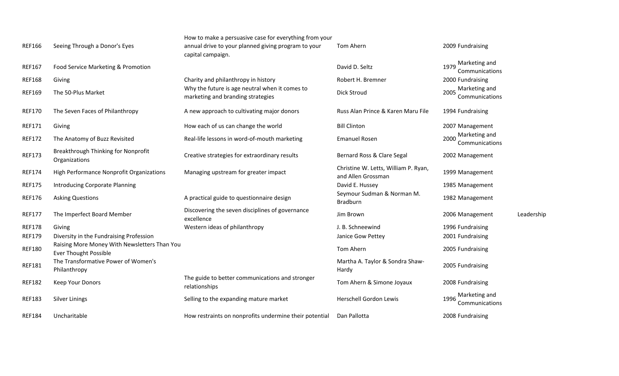| <b>REF166</b> | Seeing Through a Donor's Eyes                                                | How to make a persuasive case for everything from your<br>annual drive to your planned giving program to your<br>capital campaign. | Tom Ahern                                                  | 2009 Fundraising                        |            |
|---------------|------------------------------------------------------------------------------|------------------------------------------------------------------------------------------------------------------------------------|------------------------------------------------------------|-----------------------------------------|------------|
| <b>REF167</b> | Food Service Marketing & Promotion                                           |                                                                                                                                    | David D. Seltz                                             | Marketing and<br>1979<br>Communications |            |
| <b>REF168</b> | Giving                                                                       | Charity and philanthropy in history                                                                                                | Robert H. Bremner                                          | 2000 Fundraising                        |            |
| <b>REF169</b> | The 50-Plus Market                                                           | Why the future is age neutral when it comes to<br>marketing and branding strategies                                                | Dick Stroud                                                | Marketing and<br>2005<br>Communications |            |
| <b>REF170</b> | The Seven Faces of Philanthropy                                              | A new approach to cultivating major donors                                                                                         | Russ Alan Prince & Karen Maru File                         | 1994 Fundraising                        |            |
| <b>REF171</b> | Giving                                                                       | How each of us can change the world                                                                                                | <b>Bill Clinton</b>                                        | 2007 Management                         |            |
| <b>REF172</b> | The Anatomy of Buzz Revisited                                                | Real-life lessons in word-of-mouth marketing                                                                                       | <b>Emanuel Rosen</b>                                       | Marketing and<br>2000<br>Communications |            |
| <b>REF173</b> | Breakthrough Thinking for Nonprofit<br>Organizations                         | Creative strategies for extraordinary results                                                                                      | Bernard Ross & Clare Segal                                 | 2002 Management                         |            |
| <b>REF174</b> | High Performance Nonprofit Organizations                                     | Managing upstream for greater impact                                                                                               | Christine W. Letts, William P. Ryan,<br>and Allen Grossman | 1999 Management                         |            |
| <b>REF175</b> | Introducing Corporate Planning                                               |                                                                                                                                    | David E. Hussey                                            | 1985 Management                         |            |
| <b>REF176</b> | <b>Asking Questions</b>                                                      | A practical guide to questionnaire design                                                                                          | Seymour Sudman & Norman M.<br><b>Bradburn</b>              | 1982 Management                         |            |
| <b>REF177</b> | The Imperfect Board Member                                                   | Discovering the seven disciplines of governance<br>excellence                                                                      | Jim Brown                                                  | 2006 Management                         | Leadership |
| <b>REF178</b> | Giving                                                                       | Western ideas of philanthropy                                                                                                      | J. B. Schneewind                                           | 1996 Fundraising                        |            |
| <b>REF179</b> | Diversity in the Fundraising Profession                                      |                                                                                                                                    | Janice Gow Pettey                                          | 2001 Fundraising                        |            |
| <b>REF180</b> | Raising More Money With Newsletters Than You<br><b>Ever Thought Possible</b> |                                                                                                                                    | Tom Ahern                                                  | 2005 Fundraising                        |            |
| <b>REF181</b> | The Transformative Power of Women's<br>Philanthropy                          |                                                                                                                                    | Martha A. Taylor & Sondra Shaw-<br>Hardy                   | 2005 Fundraising                        |            |
| <b>REF182</b> | Keep Your Donors                                                             | The guide to better communications and stronger<br>relationships                                                                   | Tom Ahern & Simone Joyaux                                  | 2008 Fundraising                        |            |
| <b>REF183</b> | <b>Silver Linings</b>                                                        | Selling to the expanding mature market                                                                                             | <b>Herschell Gordon Lewis</b>                              | Marketing and<br>1996<br>Communications |            |
| <b>REF184</b> | Uncharitable                                                                 | How restraints on nonprofits undermine their potential                                                                             | Dan Pallotta                                               | 2008 Fundraising                        |            |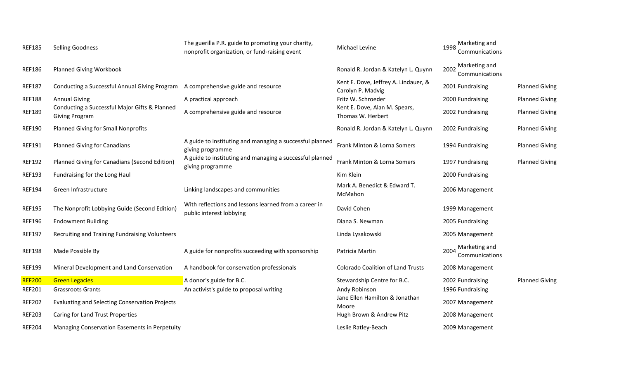| <b>REF185</b> | <b>Selling Goodness</b>                                                | The guerilla P.R. guide to promoting your charity,<br>nonprofit organization, or fund-raising event | Michael Levine                                            | Marketing and<br>1998<br>Communications |                       |
|---------------|------------------------------------------------------------------------|-----------------------------------------------------------------------------------------------------|-----------------------------------------------------------|-----------------------------------------|-----------------------|
| <b>REF186</b> | <b>Planned Giving Workbook</b>                                         |                                                                                                     | Ronald R. Jordan & Katelyn L. Quynn                       | Marketing and<br>2002<br>Communications |                       |
| <b>REF187</b> | Conducting a Successful Annual Giving Program                          | A comprehensive guide and resource                                                                  | Kent E. Dove, Jeffrey A. Lindauer, &<br>Carolyn P. Madvig | 2001 Fundraising                        | <b>Planned Giving</b> |
| <b>REF188</b> | <b>Annual Giving</b>                                                   | A practical approach                                                                                | Fritz W. Schroeder                                        | 2000 Fundraising                        | <b>Planned Giving</b> |
| <b>REF189</b> | Conducting a Successful Major Gifts & Planned<br><b>Giving Program</b> | A comprehensive guide and resource                                                                  | Kent E. Dove, Alan M. Spears,<br>Thomas W. Herbert        | 2002 Fundraising                        | <b>Planned Giving</b> |
| <b>REF190</b> | <b>Planned Giving for Small Nonprofits</b>                             |                                                                                                     | Ronald R. Jordan & Katelyn L. Quynn                       | 2002 Fundraising                        | <b>Planned Giving</b> |
| <b>REF191</b> | <b>Planned Giving for Canadians</b>                                    | A guide to instituting and managing a successful planned<br>giving programme                        | Frank Minton & Lorna Somers                               | 1994 Fundraising                        | <b>Planned Giving</b> |
| <b>REF192</b> | Planned Giving for Canadians (Second Edition)                          | A guide to instituting and managing a successful planned<br>giving programme                        | Frank Minton & Lorna Somers                               | 1997 Fundraising                        | <b>Planned Giving</b> |
| <b>REF193</b> | Fundraising for the Long Haul                                          |                                                                                                     | Kim Klein                                                 | 2000 Fundraising                        |                       |
| <b>REF194</b> | Green Infrastructure                                                   | Linking landscapes and communities                                                                  | Mark A. Benedict & Edward T.<br>McMahon                   | 2006 Management                         |                       |
| <b>REF195</b> | The Nonprofit Lobbying Guide (Second Edition)                          | With reflections and lessons learned from a career in<br>public interest lobbying                   | David Cohen                                               | 1999 Management                         |                       |
| <b>REF196</b> | <b>Endowment Building</b>                                              |                                                                                                     | Diana S. Newman                                           | 2005 Fundraising                        |                       |
| <b>REF197</b> | Recruiting and Training Fundraising Volunteers                         |                                                                                                     | Linda Lysakowski                                          | 2005 Management                         |                       |
| <b>REF198</b> | Made Possible By                                                       | A guide for nonprofits succeeding with sponsorship                                                  | Patricia Martin                                           | Marketing and<br>2004<br>Communications |                       |
| <b>REF199</b> | Mineral Development and Land Conservation                              | A handbook for conservation professionals                                                           | <b>Colorado Coalition of Land Trusts</b>                  | 2008 Management                         |                       |
| <b>REF200</b> | <b>Green Legacies</b>                                                  | A donor's guide for B.C.                                                                            | Stewardship Centre for B.C.                               | 2002 Fundraising                        | <b>Planned Giving</b> |
| <b>REF201</b> | <b>Grassroots Grants</b>                                               | An activist's guide to proposal writing                                                             | Andy Robinson                                             | 1996 Fundraising                        |                       |
| <b>REF202</b> | Evaluating and Selecting Conservation Projects                         |                                                                                                     | Jane Ellen Hamilton & Jonathan<br>Moore                   | 2007 Management                         |                       |
| <b>REF203</b> | Caring for Land Trust Properties                                       |                                                                                                     | Hugh Brown & Andrew Pitz                                  | 2008 Management                         |                       |
| <b>REF204</b> | Managing Conservation Easements in Perpetuity                          |                                                                                                     | Leslie Ratley-Beach                                       | 2009 Management                         |                       |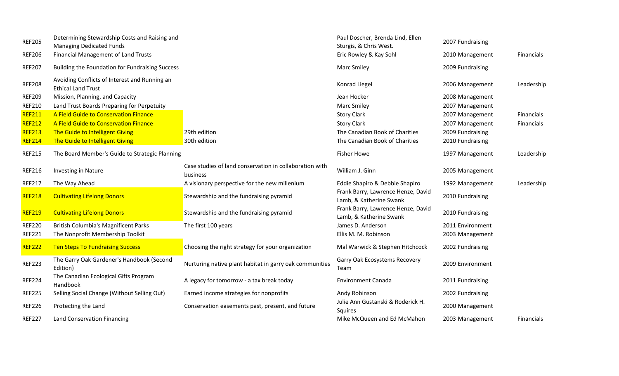| <b>REF205</b> | Determining Stewardship Costs and Raising and<br><b>Managing Dedicated Funds</b> |                                                                     | Paul Doscher, Brenda Lind, Ellen<br>Sturgis, & Chris West.    | 2007 Fundraising |                   |
|---------------|----------------------------------------------------------------------------------|---------------------------------------------------------------------|---------------------------------------------------------------|------------------|-------------------|
| <b>REF206</b> | Financial Management of Land Trusts                                              |                                                                     | Eric Rowley & Kay Sohl                                        | 2010 Management  | Financials        |
| <b>REF207</b> | Building the Foundation for Fundraising Success                                  |                                                                     | <b>Marc Smiley</b>                                            | 2009 Fundraising |                   |
| <b>REF208</b> | Avoiding Conflicts of Interest and Running an<br><b>Ethical Land Trust</b>       |                                                                     | Konrad Liegel                                                 | 2006 Management  | Leadership        |
| <b>REF209</b> | Mission, Planning, and Capacity                                                  |                                                                     | Jean Hocker                                                   | 2008 Management  |                   |
| <b>REF210</b> | Land Trust Boards Preparing for Perpetuity                                       |                                                                     | <b>Marc Smiley</b>                                            | 2007 Management  |                   |
| <b>REF211</b> | A Field Guide to Conservation Finance                                            |                                                                     | <b>Story Clark</b>                                            | 2007 Management  | Financials        |
| <b>REF212</b> | A Field Guide to Conservation Finance                                            |                                                                     | <b>Story Clark</b>                                            | 2007 Management  | Financials        |
| <b>REF213</b> | The Guide to Intelligent Giving                                                  | 29th edition                                                        | The Canadian Book of Charities                                | 2009 Fundraising |                   |
| <b>REF214</b> | The Guide to Intelligent Giving                                                  | 30th edition                                                        | The Canadian Book of Charities                                | 2010 Fundraising |                   |
| <b>REF215</b> | The Board Member's Guide to Strategic Planning                                   |                                                                     | <b>Fisher Howe</b>                                            | 1997 Management  | Leadership        |
| <b>REF216</b> | Investing in Nature                                                              | Case studies of land conservation in collaboration with<br>business | William J. Ginn                                               | 2005 Management  |                   |
| <b>REF217</b> | The Way Ahead                                                                    | A visionary perspective for the new millenium                       | Eddie Shapiro & Debbie Shapiro                                | 1992 Management  | Leadership        |
| <b>REF218</b> | <b>Cultivating Lifelong Donors</b>                                               | Stewardship and the fundraising pyramid                             | Frank Barry, Lawrence Henze, David<br>Lamb, & Katherine Swank | 2010 Fundraising |                   |
| <b>REF219</b> | <b>Cultivating Lifelong Donors</b>                                               | Stewardship and the fundraising pyramid                             | Frank Barry, Lawrence Henze, David<br>Lamb, & Katherine Swank | 2010 Fundraising |                   |
| <b>REF220</b> | <b>British Columbia's Magnificent Parks</b>                                      | The first 100 years                                                 | James D. Anderson                                             | 2011 Environment |                   |
| <b>REF221</b> | The Nonprofit Membership Toolkit                                                 |                                                                     | Ellis M. M. Robinson                                          | 2003 Management  |                   |
| <b>REF222</b> | <b>Ten Steps To Fundraising Success</b>                                          | Choosing the right strategy for your organization                   | Mal Warwick & Stephen Hitchcock                               | 2002 Fundraising |                   |
| <b>REF223</b> | The Garry Oak Gardener's Handbook (Second<br>Edition)                            | Nurturing native plant habitat in garry oak communities             | Garry Oak Ecosystems Recovery<br>Team                         | 2009 Environment |                   |
| <b>REF224</b> | The Canadian Ecological Gifts Program<br>Handbook                                | A legacy for tomorrow - a tax break today                           | <b>Environment Canada</b>                                     | 2011 Fundraising |                   |
| <b>REF225</b> | Selling Social Change (Without Selling Out)                                      | Earned income strategies for nonprofits                             | Andy Robinson                                                 | 2002 Fundraising |                   |
| <b>REF226</b> | Protecting the Land                                                              | Conservation easements past, present, and future                    | Julie Ann Gustanski & Roderick H.<br>Squires                  | 2000 Management  |                   |
| <b>REF227</b> | Land Conservation Financing                                                      |                                                                     | Mike McQueen and Ed McMahon                                   | 2003 Management  | <b>Financials</b> |